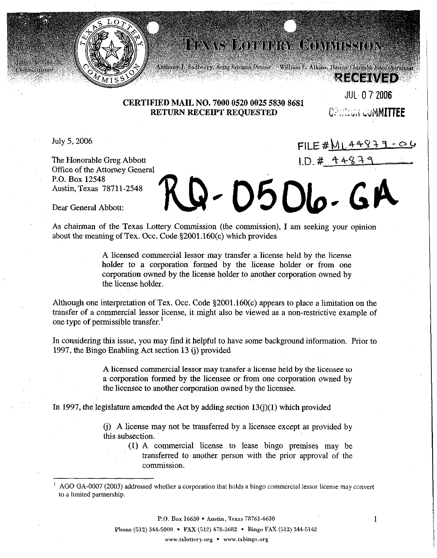

## **HEXAS HOTTERY COMMISSION**

**RIVERES** 

## CERTIFIED MAIL NO. 7000 0520 0025 5830 8681 RETURN RECEIPT REQUESTED CONSIGN COMMITTEE

JUL- 0 7'2006

 $FILE # M L 44979$ 

 $1. D. # 44879$ 

July 5, 2006

ommissioner

The Honorable Greg Abbott Office of the Attorney General P.O. Box 12548 Austin, Texas 78711-2548

Q-0506.

Dear General Abbott:

As chairman of the Texas Lottery Commission (the commission), I am seeking your opinion about the meaning of Tex. Occ. Code  $$2001.160(c)$  which provides

> A licensed commercial lessor may transfer a license held by the license holder to a corporation formed by the license holder or from one corporation owned by the license holder to another corporation owned by the license holder.

Although one interpretation of Tex. Occ. Code  $\S 2001.160(c)$  appears to place a limitation on the transfer of a commercial lessor license, it might also be viewed as a non-restrictive example of one type of permissible transfer.'

In considering this issue, you may find it helpful to have some background information. Prior to 1997, the Bingo Enabling Act section 13 (i) provided

> A licensed commercial lessor may transfer a license held by the licensee to a corporation formed by the licensee or from one corporation owned by the licensee to another corporation owned by the licensee.

In 1997, the legislature amended the Act by adding section  $13(i)(1)$  which provided

(j) A license may not be transferred by a licensee except as provided by this subsection.

(1) A commercial license to lease bingo premises may be transferred to another person with the prior approval of the commission

P.O. Box 16630 • Austin, Texas 78761-6630

Phone (512) 344-5000 • FAX (512) 478-3682 • Bingo FAX (512) 344-5142

www.txlottery.org • www.txbingo.org

1

<sup>&</sup>lt;sup>1</sup> AGO GA-0007 (2003) addressed whether a corporation that holds a bingo commercial lessor license may convert to a limited partnership.